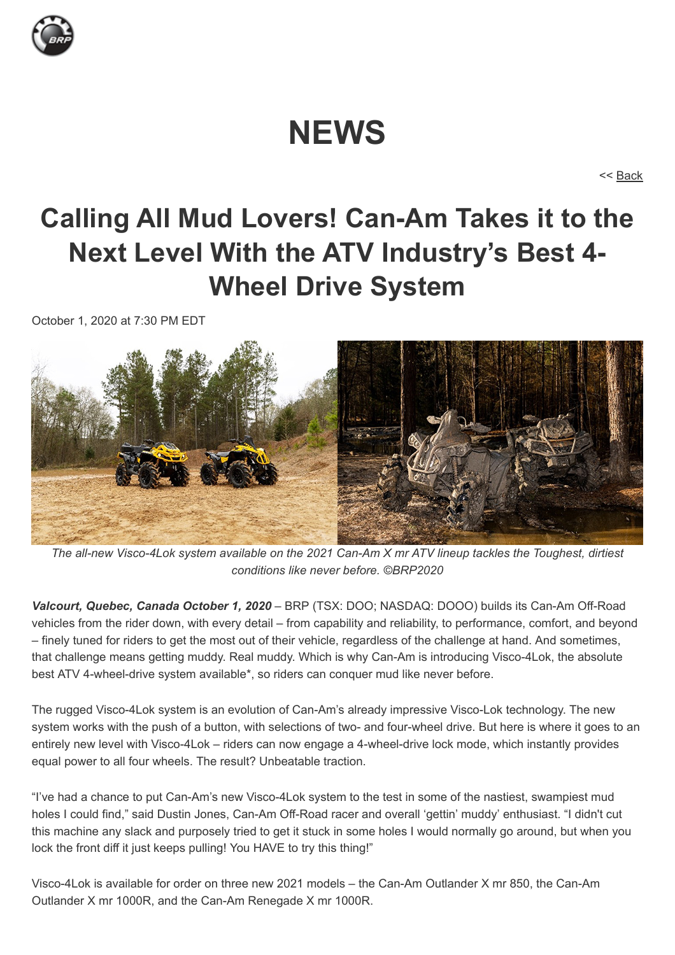

# **NEWS**

<< [Back](javascript:window.history.go(-1);)

## **Calling All Mud Lovers! Can-Am Takes it to the Next Level With the ATV Industry's Best 4- Wheel Drive System**

October 1, 2020 at 7:30 PM EDT



*The all-new Visco-4Lok system available on the 2021 Can-Am X mr ATV lineup tackles the Toughest, dirtiest conditions like never before. ©BRP2020*

*Valcourt, Quebec, Canada October 1, 2020* – BRP (TSX: DOO; NASDAQ: DOOO) builds its Can-Am Off-Road vehicles from the rider down, with every detail – from capability and reliability, to performance, comfort, and beyond – finely tuned for riders to get the most out of their vehicle, regardless of the challenge at hand. And sometimes, that challenge means getting muddy. Real muddy. Which is why Can-Am is introducing Visco-4Lok, the absolute best ATV 4-wheel-drive system available\*, so riders can conquer mud like never before.

The rugged Visco-4Lok system is an evolution of Can-Am's already impressive Visco-Lok technology. The new system works with the push of a button, with selections of two- and four-wheel drive. But here is where it goes to an entirely new level with Visco-4Lok – riders can now engage a 4-wheel-drive lock mode, which instantly provides equal power to all four wheels. The result? Unbeatable traction.

"I've had a chance to put Can-Am's new Visco-4Lok system to the test in some of the nastiest, swampiest mud holes I could find," said Dustin Jones, Can-Am Off-Road racer and overall 'gettin' muddy' enthusiast. "I didn't cut this machine any slack and purposely tried to get it stuck in some holes I would normally go around, but when you lock the front diff it just keeps pulling! You HAVE to try this thing!"

Visco-4Lok is available for order on three new 2021 models – the Can-Am Outlander X mr 850, the Can-Am Outlander X mr 1000R, and the Can-Am Renegade X mr 1000R.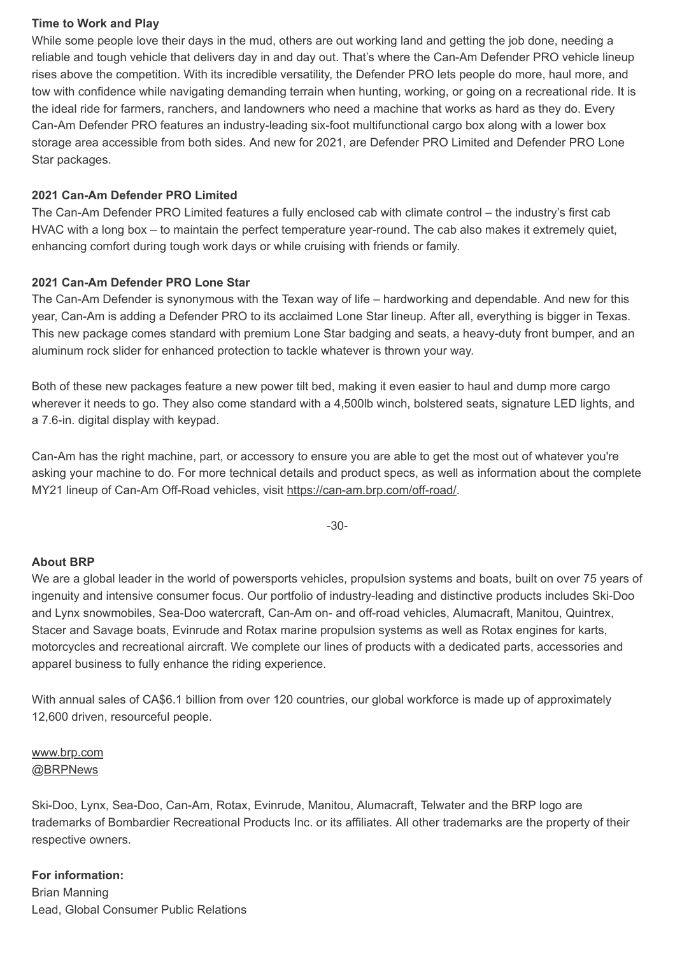#### **Time to Work and Play**

While some people love their days in the mud, others are out working land and getting the job done, needing a reliable and tough vehicle that delivers day in and day out. That's where the Can-Am Defender PRO vehicle lineup rises above the competition. With its incredible versatility, the Defender PRO lets people do more, haul more, and tow with confidence while navigating demanding terrain when hunting, working, or going on a recreational ride. It is the ideal ride for farmers, ranchers, and landowners who need a machine that works as hard as they do. Every Can-Am Defender PRO features an industry-leading six-foot multifunctional cargo box along with a lower box storage area accessible from both sides. And new for 2021, are Defender PRO Limited and Defender PRO Lone Star packages.

### **2021 Can-Am Defender PRO Limited**

The Can-Am Defender PRO Limited features a fully enclosed cab with climate control – the industry's first cab HVAC with a long box – to maintain the perfect temperature year-round. The cab also makes it extremely quiet, enhancing comfort during tough work days or while cruising with friends or family.

## **2021 Can-Am Defender PRO Lone Star**

The Can-Am Defender is synonymous with the Texan way of life – hardworking and dependable. And new for this year, Can-Am is adding a Defender PRO to its acclaimed Lone Star lineup. After all, everything is bigger in Texas. This new package comes standard with premium Lone Star badging and seats, a heavy-duty front bumper, and an aluminum rock slider for enhanced protection to tackle whatever is thrown your way.

Both of these new packages feature a new power tilt bed, making it even easier to haul and dump more cargo wherever it needs to go. They also come standard with a 4,500lb winch, bolstered seats, signature LED lights, and a 7.6-in. digital display with keypad.

Can-Am has the right machine, part, or accessory to ensure you are able to get the most out of whatever you're asking your machine to do. For more technical details and product specs, as well as information about the complete MY21 lineup of Can-Am Off-Road vehicles, visit [https://can-am.brp.com/off-road/.](https://can-am.brp.com/off-road/)

-30-

#### **About BRP**

We are a global leader in the world of powersports vehicles, propulsion systems and boats, built on over 75 years of ingenuity and intensive consumer focus. Our portfolio of industry-leading and distinctive products includes Ski-Doo and Lynx snowmobiles, Sea-Doo watercraft, Can-Am on- and off-road vehicles, Alumacraft, Manitou, Quintrex, Stacer and Savage boats, Evinrude and Rotax marine propulsion systems as well as Rotax engines for karts, motorcycles and recreational aircraft. We complete our lines of products with a dedicated parts, accessories and apparel business to fully enhance the riding experience.

With annual sales of CA\$6.1 billion from over 120 countries, our global workforce is made up of approximately 12,600 driven, resourceful people.

#### [www.brp.com](http://www.brp.com/) [@BRPNews](https://twitter.com/BRPnews)

Ski-Doo, Lynx, Sea-Doo, Can-Am, Rotax, Evinrude, Manitou, Alumacraft, Telwater and the BRP logo are trademarks of Bombardier Recreational Products Inc. or its affiliates. All other trademarks are the property of their respective owners.

## **For information:**  Brian Manning Lead, Global Consumer Public Relations